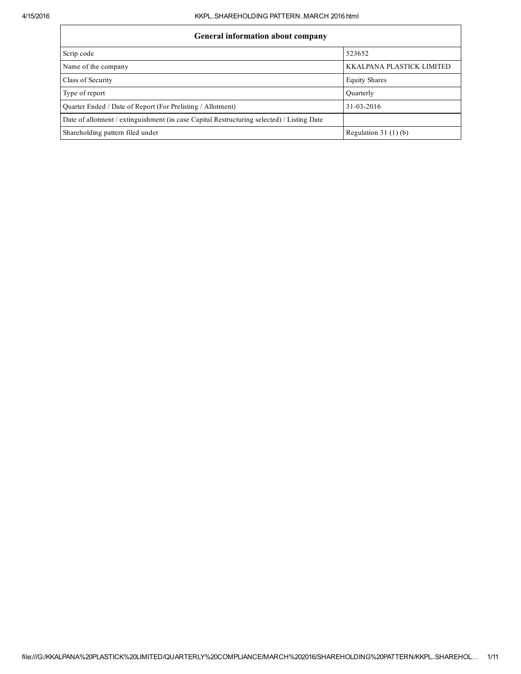## General information about company

| OCHCLAI HIIOI IIIation about company                                                       |                           |  |  |  |  |  |
|--------------------------------------------------------------------------------------------|---------------------------|--|--|--|--|--|
| Scrip code                                                                                 | 523652                    |  |  |  |  |  |
| Name of the company                                                                        | KKALPANA PLASTICK LIMITED |  |  |  |  |  |
| Class of Security                                                                          | <b>Equity Shares</b>      |  |  |  |  |  |
| Type of report                                                                             | Ouarterly                 |  |  |  |  |  |
| Ouarter Ended / Date of Report (For Prelisting / Allotment)                                | 31-03-2016                |  |  |  |  |  |
| Date of allotment / extinguishment (in case Capital Restructuring selected) / Listing Date |                           |  |  |  |  |  |
| Shareholding pattern filed under                                                           | Regulation 31 $(1)(b)$    |  |  |  |  |  |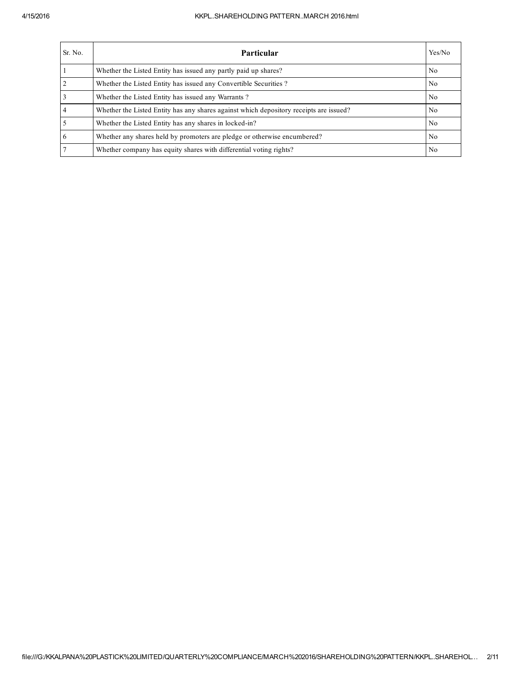## 4/15/2016 KKPL..SHAREHOLDING PATTERN..MARCH 2016.html

| Sr. No. | <b>Particular</b>                                                                      | Yes/No         |
|---------|----------------------------------------------------------------------------------------|----------------|
|         | Whether the Listed Entity has issued any partly paid up shares?                        | N <sub>0</sub> |
|         | Whether the Listed Entity has issued any Convertible Securities?                       | N <sub>0</sub> |
|         | Whether the Listed Entity has issued any Warrants?                                     | N <sub>0</sub> |
|         | Whether the Listed Entity has any shares against which depository receipts are issued? | N <sub>0</sub> |
|         | Whether the Listed Entity has any shares in locked-in?                                 | N <sub>0</sub> |
| 6       | Whether any shares held by promoters are pledge or otherwise encumbered?               | N <sub>0</sub> |
|         | Whether company has equity shares with differential voting rights?                     | N <sub>0</sub> |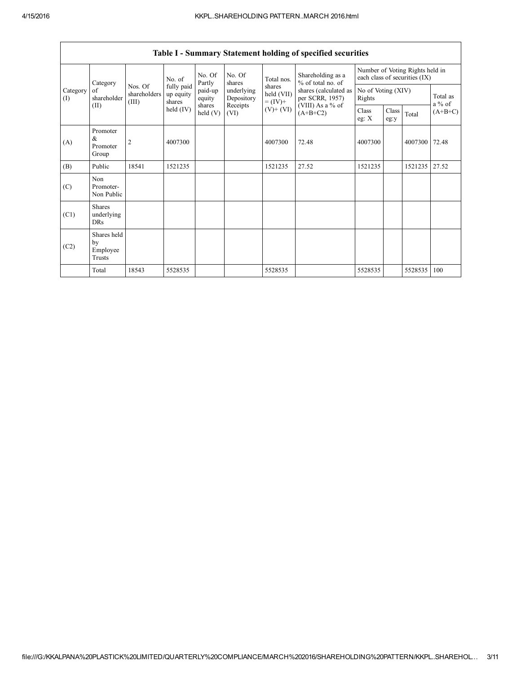|                 | Category                                |                                  | No. of                            | No. Of<br>Partly           | No. Of<br>shares         | Total nos.<br>shares<br>held (VII)<br>$= (IV) +$ | Shareholding as a<br>% of total no. of<br>shares (calculated as<br>per SCRR, 1957)<br>(VIII) As a % of<br>$(A+B+C2)$ | Number of Voting Rights held in<br>each class of securities (IX) |               |                      |           |
|-----------------|-----------------------------------------|----------------------------------|-----------------------------------|----------------------------|--------------------------|--------------------------------------------------|----------------------------------------------------------------------------------------------------------------------|------------------------------------------------------------------|---------------|----------------------|-----------|
| Category<br>(I) | of<br>shareholder                       | Nos. Of<br>shareholders<br>(III) | fully paid<br>up equity<br>shares | paid-up<br>equity          | underlying<br>Depository |                                                  |                                                                                                                      | No of Voting (XIV)<br>Rights                                     |               | Total as<br>$a\%$ of |           |
|                 | (II)                                    |                                  | held (IV)                         | shares<br>$\text{held}(V)$ | Receipts<br>(VI)         | $(V)$ + $(VI)$                                   |                                                                                                                      | Class<br>eg: $X$                                                 | Class<br>eg:y | Total                | $(A+B+C)$ |
| (A)             | Promoter<br>&<br>Promoter<br>Group      | 2                                | 4007300                           |                            |                          | 4007300                                          | 72.48                                                                                                                | 4007300                                                          |               | 4007300              | 72.48     |
| (B)             | Public                                  | 18541                            | 1521235                           |                            |                          | 1521235                                          | 27.52                                                                                                                | 1521235                                                          |               | 1521235              | 27.52     |
| (C)             | Non<br>Promoter-<br>Non Public          |                                  |                                   |                            |                          |                                                  |                                                                                                                      |                                                                  |               |                      |           |
| (C1)            | <b>Shares</b><br>underlying<br>DRs      |                                  |                                   |                            |                          |                                                  |                                                                                                                      |                                                                  |               |                      |           |
| (C2)            | Shares held<br>by<br>Employee<br>Trusts |                                  |                                   |                            |                          |                                                  |                                                                                                                      |                                                                  |               |                      |           |
|                 | Total                                   | 18543                            | 5528535                           |                            |                          | 5528535                                          |                                                                                                                      | 5528535                                                          |               | 5528535              | 100       |

Table I - Summary Statement holding of specified securities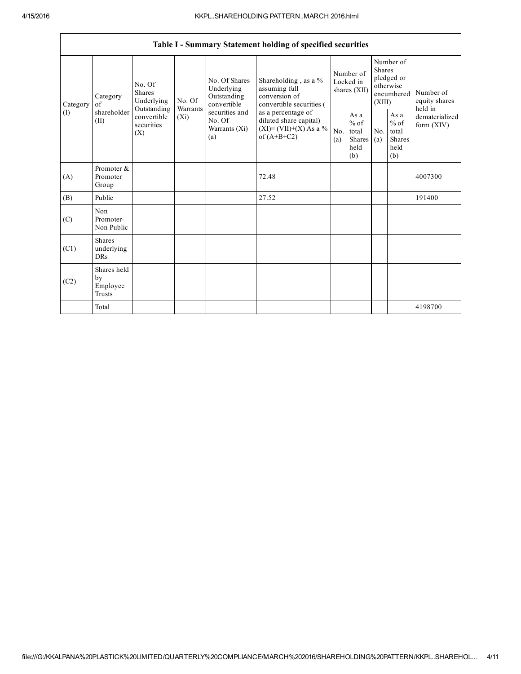**r** 

|                 | Table I - Summary Statement holding of specified securities |                                                                                                          |        |                                                                                                               |                                                                                                                                                                                  |                                        |                                                  |                                                                               |                                                  |                                       |
|-----------------|-------------------------------------------------------------|----------------------------------------------------------------------------------------------------------|--------|---------------------------------------------------------------------------------------------------------------|----------------------------------------------------------------------------------------------------------------------------------------------------------------------------------|----------------------------------------|--------------------------------------------------|-------------------------------------------------------------------------------|--------------------------------------------------|---------------------------------------|
| Category<br>(1) | Category<br>of<br>shareholder<br>(II)                       | No. Of<br>Shares<br>Underlying<br>Warrants<br>Outstanding<br>convertible<br>$(X_i)$<br>securities<br>(X) | No. Of | No. Of Shares<br>Underlying<br>Outstanding<br>convertible<br>securities and<br>No. Of<br>Warrants (Xi)<br>(a) | Shareholding, as a %<br>assuming full<br>conversion of<br>convertible securities (<br>as a percentage of<br>diluted share capital)<br>$(XI) = (VII)+(X) As a %$<br>of $(A+B+C2)$ | Number of<br>Locked in<br>shares (XII) |                                                  | Number of<br><b>Shares</b><br>pledged or<br>otherwise<br>encumbered<br>(XIII) |                                                  | Number of<br>equity shares<br>held in |
|                 |                                                             |                                                                                                          |        |                                                                                                               |                                                                                                                                                                                  | N <sub>o</sub><br>(a)                  | As a<br>$%$ of<br>total<br>Shares<br>held<br>(b) | No.<br>(a)                                                                    | As a<br>$%$ of<br>total<br>Shares<br>held<br>(b) | dematerialized<br>form $(XIV)$        |
| (A)             | Promoter &<br>Promoter<br>Group                             |                                                                                                          |        |                                                                                                               | 72.48                                                                                                                                                                            |                                        |                                                  |                                                                               |                                                  | 4007300                               |
| (B)             | Public                                                      |                                                                                                          |        |                                                                                                               | 27.52                                                                                                                                                                            |                                        |                                                  |                                                                               |                                                  | 191400                                |
| (C)             | Non<br>Promoter-<br>Non Public                              |                                                                                                          |        |                                                                                                               |                                                                                                                                                                                  |                                        |                                                  |                                                                               |                                                  |                                       |
| (C1)            | <b>Shares</b><br>underlying<br><b>DRs</b>                   |                                                                                                          |        |                                                                                                               |                                                                                                                                                                                  |                                        |                                                  |                                                                               |                                                  |                                       |
| (C2)            | Shares held<br>by<br>Employee<br>Trusts                     |                                                                                                          |        |                                                                                                               |                                                                                                                                                                                  |                                        |                                                  |                                                                               |                                                  |                                       |
|                 | Total                                                       |                                                                                                          |        |                                                                                                               |                                                                                                                                                                                  |                                        |                                                  |                                                                               |                                                  | 4198700                               |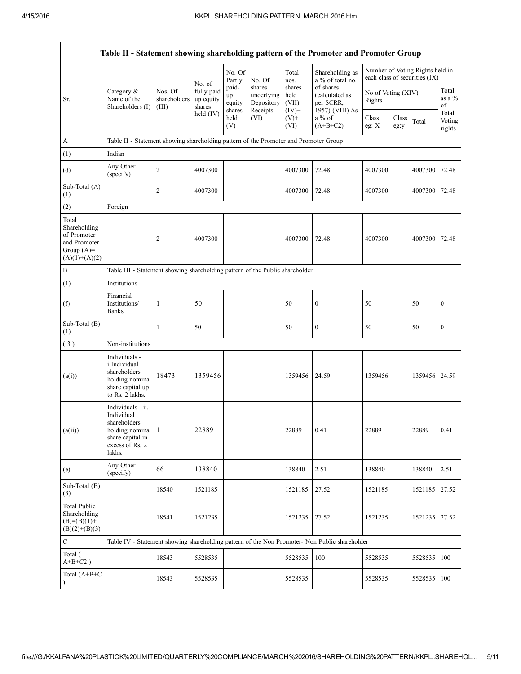| Table II - Statement showing shareholding pattern of the Promoter and Promoter Group    |                                                                                                                       |                                  |                                             |                                 |                                                |                                        |                                                                                               |                              |                                                                  |               |                                  |
|-----------------------------------------------------------------------------------------|-----------------------------------------------------------------------------------------------------------------------|----------------------------------|---------------------------------------------|---------------------------------|------------------------------------------------|----------------------------------------|-----------------------------------------------------------------------------------------------|------------------------------|------------------------------------------------------------------|---------------|----------------------------------|
|                                                                                         |                                                                                                                       |                                  |                                             | No. Of<br>Partly                | No. Of                                         | Total<br>nos.                          | Shareholding as<br>a % of total no.                                                           |                              | Number of Voting Rights held in<br>each class of securities (IX) |               |                                  |
| Sr.                                                                                     | Category $\&$<br>Name of the<br>Shareholders (I)                                                                      | Nos. Of<br>shareholders<br>(III) | No. of<br>fully paid<br>up equity<br>shares | paid-<br>up<br>equity<br>shares | shares<br>underlying<br>Depository<br>Receipts | shares<br>held<br>$(VII) =$<br>$(IV)+$ | of shares<br>(calculated as<br>per SCRR,<br>1957) (VIII) As                                   | No of Voting (XIV)<br>Rights |                                                                  |               | Total<br>as a $%$<br>of<br>Total |
|                                                                                         |                                                                                                                       |                                  | held (IV)                                   | held<br>(V)                     | (VI)                                           | $(V)$ +<br>(VI)                        | $a\%$ of<br>$(A+B+C2)$                                                                        | Class<br>eg: $X$             | Class<br>eg:y                                                    | Total         | Voting<br>rights                 |
| $\mathbf{A}$                                                                            | Table II - Statement showing shareholding pattern of the Promoter and Promoter Group                                  |                                  |                                             |                                 |                                                |                                        |                                                                                               |                              |                                                                  |               |                                  |
| (1)                                                                                     | Indian                                                                                                                |                                  |                                             |                                 |                                                |                                        |                                                                                               |                              |                                                                  |               |                                  |
| (d)                                                                                     | Any Other<br>(specify)                                                                                                | $\boldsymbol{2}$                 | 4007300                                     |                                 |                                                | 4007300                                | 72.48                                                                                         | 4007300                      |                                                                  | 4007300       | 72.48                            |
| Sub-Total (A)<br>(1)                                                                    |                                                                                                                       | $\overline{c}$                   | 4007300                                     |                                 |                                                | 4007300                                | 72.48                                                                                         | 4007300                      |                                                                  | 4007300       | 72.48                            |
| (2)                                                                                     | Foreign                                                                                                               |                                  |                                             |                                 |                                                |                                        |                                                                                               |                              |                                                                  |               |                                  |
| Total<br>Shareholding<br>of Promoter<br>and Promoter<br>Group $(A)=$<br>$(A)(1)+(A)(2)$ |                                                                                                                       | $\overline{c}$                   | 4007300                                     |                                 |                                                | 4007300                                | 72.48                                                                                         | 4007300                      |                                                                  | 4007300       | 72.48                            |
| B                                                                                       | Table III - Statement showing shareholding pattern of the Public shareholder                                          |                                  |                                             |                                 |                                                |                                        |                                                                                               |                              |                                                                  |               |                                  |
| (1)                                                                                     | Institutions                                                                                                          |                                  |                                             |                                 |                                                |                                        |                                                                                               |                              |                                                                  |               |                                  |
| (f)                                                                                     | Financial<br>Institutions/<br><b>Banks</b>                                                                            | $\mathbf{1}$                     | 50                                          |                                 |                                                | 50                                     | $\boldsymbol{0}$                                                                              | 50                           |                                                                  | 50            | $\boldsymbol{0}$                 |
| Sub-Total (B)<br>(1)                                                                    |                                                                                                                       | 1                                | 50                                          |                                 |                                                | 50                                     | $\boldsymbol{0}$                                                                              | 50                           |                                                                  | 50            | $\boldsymbol{0}$                 |
| (3)                                                                                     | Non-institutions                                                                                                      |                                  |                                             |                                 |                                                |                                        |                                                                                               |                              |                                                                  |               |                                  |
| (a(i))                                                                                  | Individuals -<br>i.Individual<br>shareholders<br>holding nominal<br>share capital up<br>to Rs. 2 lakhs.               | 18473                            | 1359456                                     |                                 |                                                | 1359456                                | 24.59                                                                                         | 1359456                      |                                                                  | 1359456 24.59 |                                  |
| (a(ii))                                                                                 | Individuals - ii.<br>Individual<br>shareholders<br>holding nominal 1<br>share capital in<br>excess of Rs. 2<br>lakhs. |                                  | 22889                                       |                                 |                                                | 22889                                  | 0.41                                                                                          | 22889                        |                                                                  | 22889         | 0.41                             |
| (e)                                                                                     | Any Other<br>(specify)                                                                                                | 66                               | 138840                                      |                                 |                                                | 138840                                 | 2.51                                                                                          | 138840                       |                                                                  | 138840        | 2.51                             |
| Sub-Total (B)<br>(3)                                                                    |                                                                                                                       | 18540                            | 1521185                                     |                                 |                                                | 1521185                                | 27.52                                                                                         | 1521185                      |                                                                  | 1521185       | 27.52                            |
| <b>Total Public</b><br>Shareholding<br>$(B)=(B)(1)+$<br>$(B)(2)+(B)(3)$                 |                                                                                                                       | 18541                            | 1521235                                     |                                 |                                                | 1521235                                | 27.52                                                                                         | 1521235                      |                                                                  | 1521235 27.52 |                                  |
| $\mathbf C$                                                                             |                                                                                                                       |                                  |                                             |                                 |                                                |                                        | Table IV - Statement showing shareholding pattern of the Non Promoter- Non Public shareholder |                              |                                                                  |               |                                  |
| Total (<br>$A+B+C2$ )                                                                   |                                                                                                                       | 18543                            | 5528535                                     |                                 |                                                | 5528535                                | 100                                                                                           | 5528535                      |                                                                  | 5528535       | 100                              |
| Total (A+B+C                                                                            |                                                                                                                       | 18543                            | 5528535                                     |                                 |                                                | 5528535                                |                                                                                               | 5528535                      |                                                                  | 5528535       | 100                              |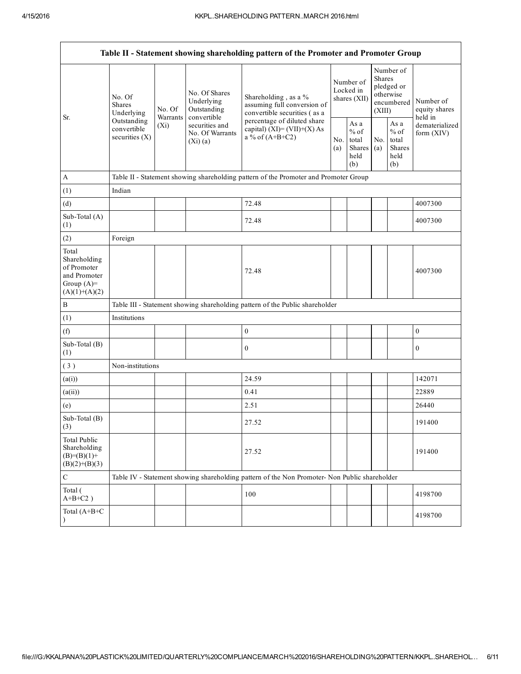| Table II - Statement showing shareholding pattern of the Promoter and Promoter Group    |                                                |                                                                                       |                                            |                                                                                                  |                                        |                                                   |                                                                        |                                                  |                                                                       |
|-----------------------------------------------------------------------------------------|------------------------------------------------|---------------------------------------------------------------------------------------|--------------------------------------------|--------------------------------------------------------------------------------------------------|----------------------------------------|---------------------------------------------------|------------------------------------------------------------------------|--------------------------------------------------|-----------------------------------------------------------------------|
|                                                                                         | No. Of<br>Shares<br>Underlying                 | No. Of                                                                                | No. Of Shares<br>Underlying<br>Outstanding | Shareholding, as a %<br>assuming full conversion of<br>convertible securities (as a              | Number of<br>Locked in<br>shares (XII) |                                                   | Number of<br>Shares<br>pledged or<br>otherwise<br>encumbered<br>(XIII) |                                                  | Number of<br>equity shares<br>held in<br>dematerialized<br>form (XIV) |
| Sr.                                                                                     | Outstanding<br>convertible<br>securities $(X)$ | convertible<br>Warrants<br>securities and<br>$(X_i)$<br>No. Of Warrants<br>$(Xi)$ (a) |                                            | percentage of diluted share<br>capital) $(XI) = (VII)+(X) As$<br>a % of $(A+B+C2)$<br>No.<br>(a) |                                        | As a<br>$\%$ of<br>total<br>Shares<br>held<br>(b) | N <sub>0</sub><br>(a)                                                  | As a<br>$%$ of<br>total<br>Shares<br>held<br>(b) |                                                                       |
| $\mathbf{A}$                                                                            |                                                |                                                                                       |                                            | Table II - Statement showing shareholding pattern of the Promoter and Promoter Group             |                                        |                                                   |                                                                        |                                                  |                                                                       |
| (1)                                                                                     | Indian                                         |                                                                                       |                                            |                                                                                                  |                                        |                                                   |                                                                        |                                                  |                                                                       |
| (d)                                                                                     |                                                |                                                                                       |                                            | 72.48                                                                                            |                                        |                                                   |                                                                        |                                                  | 4007300                                                               |
| Sub-Total (A)<br>(1)                                                                    |                                                |                                                                                       |                                            | 72.48                                                                                            |                                        |                                                   |                                                                        |                                                  | 4007300                                                               |
| (2)                                                                                     | Foreign                                        |                                                                                       |                                            |                                                                                                  |                                        |                                                   |                                                                        |                                                  |                                                                       |
| Total<br>Shareholding<br>of Promoter<br>and Promoter<br>Group $(A)=$<br>$(A)(1)+(A)(2)$ |                                                |                                                                                       |                                            | 72.48                                                                                            |                                        |                                                   |                                                                        |                                                  | 4007300                                                               |
| B                                                                                       |                                                |                                                                                       |                                            | Table III - Statement showing shareholding pattern of the Public shareholder                     |                                        |                                                   |                                                                        |                                                  |                                                                       |
| (1)                                                                                     | Institutions                                   |                                                                                       |                                            |                                                                                                  |                                        |                                                   |                                                                        |                                                  |                                                                       |
| (f)                                                                                     |                                                |                                                                                       |                                            | $\boldsymbol{0}$                                                                                 |                                        |                                                   |                                                                        |                                                  | $\boldsymbol{0}$                                                      |
| Sub-Total (B)<br>(1)                                                                    |                                                |                                                                                       |                                            | $\boldsymbol{0}$                                                                                 |                                        |                                                   |                                                                        |                                                  | $\boldsymbol{0}$                                                      |
| (3)                                                                                     | Non-institutions                               |                                                                                       |                                            |                                                                                                  |                                        |                                                   |                                                                        |                                                  |                                                                       |
| (a(i))                                                                                  |                                                |                                                                                       |                                            | 24.59                                                                                            |                                        |                                                   |                                                                        |                                                  | 142071                                                                |
| (a(ii))                                                                                 |                                                |                                                                                       |                                            | 0.41                                                                                             |                                        |                                                   |                                                                        |                                                  | 22889                                                                 |
| (e)                                                                                     |                                                |                                                                                       |                                            | 2.51                                                                                             |                                        |                                                   |                                                                        |                                                  | 26440                                                                 |
| Sub-Total (B)<br>$\left(3\right)$                                                       |                                                |                                                                                       |                                            | 27.52                                                                                            |                                        |                                                   |                                                                        |                                                  | 191400                                                                |
| <b>Total Public</b><br>Shareholding<br>$(B)= (B)(1) +$<br>$(B)(2)+(B)(3)$               |                                                |                                                                                       |                                            | 27.52                                                                                            |                                        |                                                   |                                                                        |                                                  | 191400                                                                |
| ${\bf C}$                                                                               |                                                |                                                                                       |                                            | Table IV - Statement showing shareholding pattern of the Non Promoter- Non Public shareholder    |                                        |                                                   |                                                                        |                                                  |                                                                       |
| Total (<br>$A+B+C2$ )                                                                   |                                                |                                                                                       |                                            | 100                                                                                              |                                        |                                                   |                                                                        |                                                  | 4198700                                                               |
| Total (A+B+C                                                                            |                                                |                                                                                       |                                            |                                                                                                  |                                        |                                                   |                                                                        |                                                  | 4198700                                                               |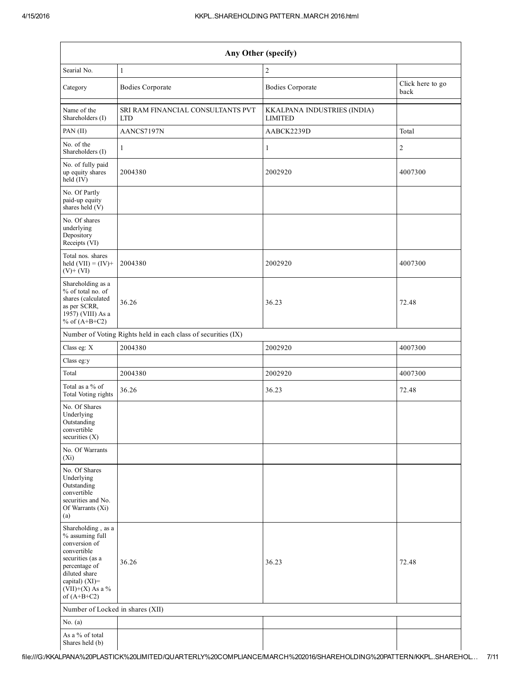| Any Other (specify)                                                                                                                                                                  |                                                               |                                                     |         |  |  |  |  |  |
|--------------------------------------------------------------------------------------------------------------------------------------------------------------------------------------|---------------------------------------------------------------|-----------------------------------------------------|---------|--|--|--|--|--|
| $\overline{c}$<br>Searial No.<br>$\mathbf{1}$                                                                                                                                        |                                                               |                                                     |         |  |  |  |  |  |
| Category                                                                                                                                                                             | <b>Bodies Corporate</b>                                       | Click here to go<br><b>Bodies Corporate</b><br>back |         |  |  |  |  |  |
| Name of the<br>Shareholders (I)                                                                                                                                                      | SRI RAM FINANCIAL CONSULTANTS PVT<br><b>LTD</b>               | KKALPANA INDUSTRIES (INDIA)<br><b>LIMITED</b>       |         |  |  |  |  |  |
| PAN (II)                                                                                                                                                                             | AANCS7197N                                                    | AABCK2239D                                          | Total   |  |  |  |  |  |
| No. of the<br>Shareholders (I)                                                                                                                                                       | 1                                                             | 1                                                   | 2       |  |  |  |  |  |
| No. of fully paid<br>up equity shares<br>$held$ (IV)                                                                                                                                 | 2004380                                                       | 2002920                                             | 4007300 |  |  |  |  |  |
| No. Of Partly<br>paid-up equity<br>shares held $(V)$                                                                                                                                 |                                                               |                                                     |         |  |  |  |  |  |
| No. Of shares<br>underlying<br>Depository<br>Receipts (VI)                                                                                                                           |                                                               |                                                     |         |  |  |  |  |  |
| Total nos. shares<br>held $(VII) = (IV) +$<br>$(V)+(VI)$                                                                                                                             | 2004380                                                       | 2002920                                             | 4007300 |  |  |  |  |  |
| Shareholding as a<br>% of total no. of<br>shares (calculated<br>as per SCRR,<br>1957) (VIII) As a<br>% of $(A+B+C2)$                                                                 | 36.26                                                         | 36.23                                               | 72.48   |  |  |  |  |  |
|                                                                                                                                                                                      | Number of Voting Rights held in each class of securities (IX) |                                                     |         |  |  |  |  |  |
| Class eg: X                                                                                                                                                                          | 2004380                                                       | 2002920                                             | 4007300 |  |  |  |  |  |
| Class eg:y                                                                                                                                                                           |                                                               |                                                     |         |  |  |  |  |  |
| Total                                                                                                                                                                                | 2004380                                                       | 2002920                                             | 4007300 |  |  |  |  |  |
| Total as a % of<br>Total Voting rights                                                                                                                                               | 36.26                                                         | 36.23                                               | 72.48   |  |  |  |  |  |
| No. Of Shares<br>Underlying<br>Outstanding<br>convertible<br>securities $(X)$                                                                                                        |                                                               |                                                     |         |  |  |  |  |  |
| No. Of Warrants<br>$(X_i)$                                                                                                                                                           |                                                               |                                                     |         |  |  |  |  |  |
| No. Of Shares<br>Underlying<br>Outstanding<br>convertible<br>securities and No.<br>Of Warrants (Xi)<br>(a)                                                                           |                                                               |                                                     |         |  |  |  |  |  |
| Shareholding, as a<br>% assuming full<br>conversion of<br>convertible<br>securities (as a<br>percentage of<br>diluted share<br>capital) (XI)=<br>$(VII)+(X)$ As a %<br>of $(A+B+C2)$ | 36.26                                                         | 36.23                                               | 72.48   |  |  |  |  |  |
| Number of Locked in shares (XII)                                                                                                                                                     |                                                               |                                                     |         |  |  |  |  |  |
| No. $(a)$<br>As a % of total                                                                                                                                                         |                                                               |                                                     |         |  |  |  |  |  |
| Shares held (b)                                                                                                                                                                      |                                                               |                                                     |         |  |  |  |  |  |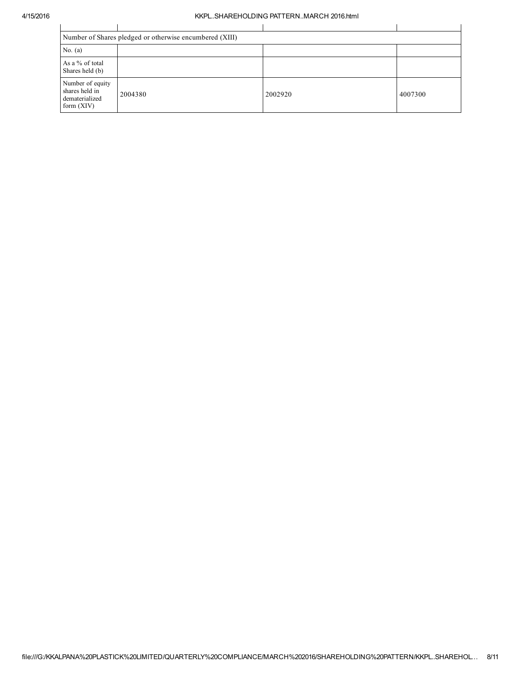## 4/15/2016 KKPL..SHAREHOLDING PATTERN..MARCH 2016.html

|                                                                      | Number of Shares pledged or otherwise encumbered (XIII) |         |         |  |  |  |  |  |
|----------------------------------------------------------------------|---------------------------------------------------------|---------|---------|--|--|--|--|--|
| No. $(a)$                                                            |                                                         |         |         |  |  |  |  |  |
| As a % of total<br>Shares held (b)                                   |                                                         |         |         |  |  |  |  |  |
| Number of equity<br>shares held in<br>dematerialized<br>form $(XIV)$ | 2004380                                                 | 2002920 | 4007300 |  |  |  |  |  |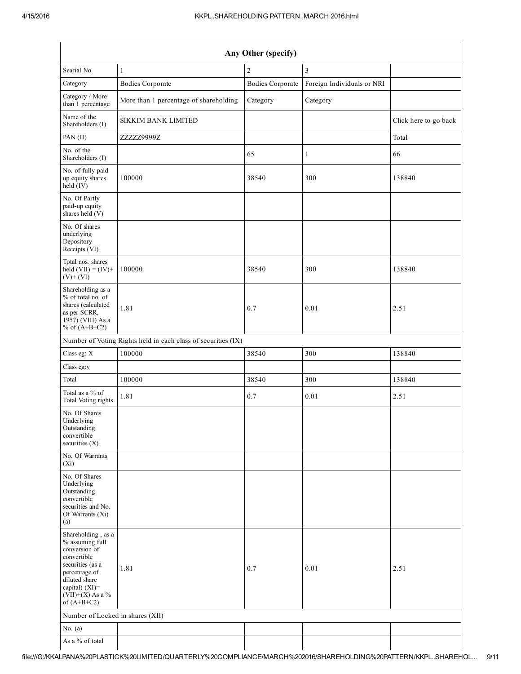| Any Other (specify)                                                                                                                                                                  |                                                               |                         |                            |                       |  |  |  |  |
|--------------------------------------------------------------------------------------------------------------------------------------------------------------------------------------|---------------------------------------------------------------|-------------------------|----------------------------|-----------------------|--|--|--|--|
| Searial No.                                                                                                                                                                          | $\mathbf{1}$                                                  | $\boldsymbol{2}$        | $\overline{\mathbf{3}}$    |                       |  |  |  |  |
| Category                                                                                                                                                                             | <b>Bodies Corporate</b>                                       | <b>Bodies Corporate</b> | Foreign Individuals or NRI |                       |  |  |  |  |
| Category / More<br>than 1 percentage                                                                                                                                                 | More than 1 percentage of shareholding                        | Category                | Category                   |                       |  |  |  |  |
| Name of the<br>Shareholders (I)                                                                                                                                                      | <b>SIKKIM BANK LIMITED</b>                                    |                         |                            | Click here to go back |  |  |  |  |
| PAN (II)                                                                                                                                                                             | ZZZZZ9999Z                                                    |                         |                            | Total                 |  |  |  |  |
| No. of the<br>Shareholders (I)                                                                                                                                                       |                                                               | 65                      | 1                          | 66                    |  |  |  |  |
| No. of fully paid<br>up equity shares<br>$held$ (IV)                                                                                                                                 | 100000                                                        | 38540                   | 300                        | 138840                |  |  |  |  |
| No. Of Partly<br>paid-up equity<br>shares held (V)                                                                                                                                   |                                                               |                         |                            |                       |  |  |  |  |
| No. Of shares<br>underlying<br>Depository<br>Receipts (VI)                                                                                                                           |                                                               |                         |                            |                       |  |  |  |  |
| Total nos. shares<br>held $(VII) = (IV) +$<br>$(V)$ + $(VI)$                                                                                                                         | 100000                                                        | 38540                   | 300                        | 138840                |  |  |  |  |
| Shareholding as a<br>% of total no. of<br>shares (calculated<br>as per SCRR,<br>1957) (VIII) As a<br>% of $(A+B+C2)$                                                                 | 1.81                                                          | 0.7                     | 0.01                       | 2.51                  |  |  |  |  |
|                                                                                                                                                                                      | Number of Voting Rights held in each class of securities (IX) |                         |                            |                       |  |  |  |  |
| Class eg: X                                                                                                                                                                          | 100000                                                        | 38540                   | 300                        | 138840                |  |  |  |  |
| Class eg:y                                                                                                                                                                           |                                                               |                         |                            |                       |  |  |  |  |
| Total                                                                                                                                                                                | 100000                                                        | 38540                   | 300                        | 138840                |  |  |  |  |
| Total as a % of<br>Total Voting rights                                                                                                                                               | 1.81                                                          | 0.7                     | 0.01                       | 2.51                  |  |  |  |  |
| No. Of Shares<br>Underlying<br>Outstanding<br>convertible<br>securities $(X)$                                                                                                        |                                                               |                         |                            |                       |  |  |  |  |
| No. Of Warrants<br>$(X_i)$                                                                                                                                                           |                                                               |                         |                            |                       |  |  |  |  |
| No. Of Shares<br>Underlying<br>Outstanding<br>convertible<br>securities and No.<br>Of Warrants (Xi)<br>(a)                                                                           |                                                               |                         |                            |                       |  |  |  |  |
| Shareholding, as a<br>% assuming full<br>conversion of<br>convertible<br>securities (as a<br>percentage of<br>diluted share<br>capital) (XI)=<br>$(VII)+(X)$ As a %<br>of $(A+B+C2)$ | 1.81                                                          | 0.7                     | 0.01                       | 2.51                  |  |  |  |  |
| Number of Locked in shares (XII)                                                                                                                                                     |                                                               |                         |                            |                       |  |  |  |  |
| No. $(a)$                                                                                                                                                                            |                                                               |                         |                            |                       |  |  |  |  |
| As a % of total                                                                                                                                                                      |                                                               |                         |                            |                       |  |  |  |  |